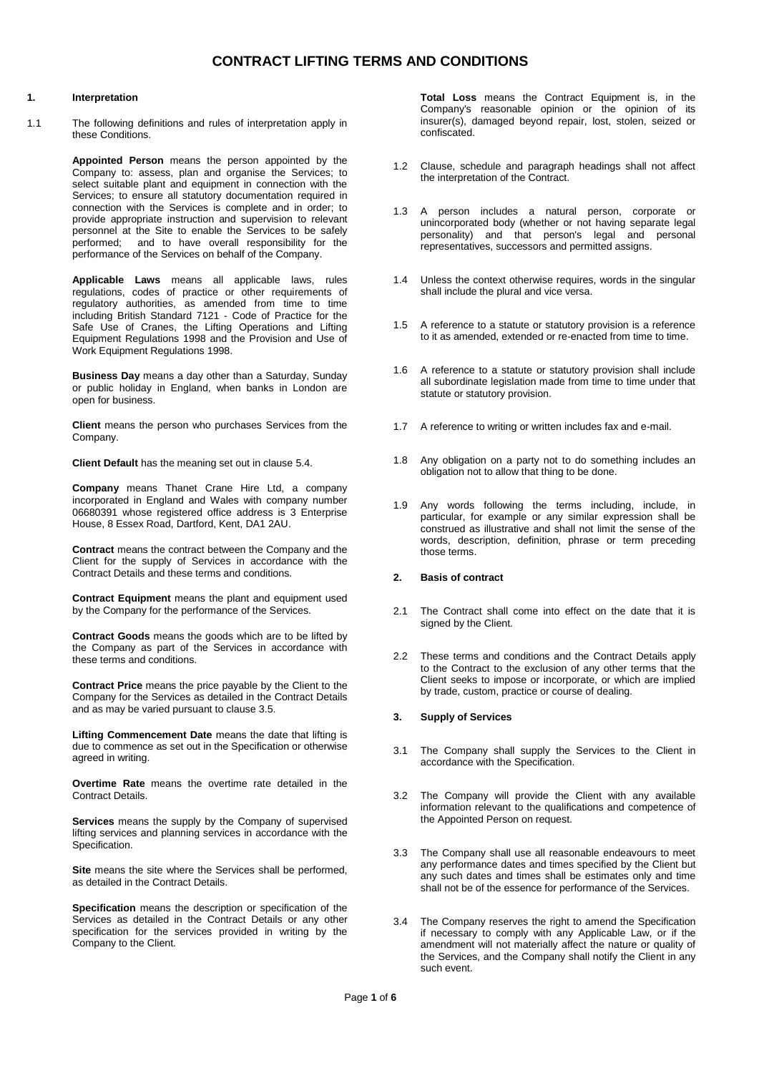### **1. Interpretation**

1.1 The following definitions and rules of interpretation apply in these Conditions.

> **Appointed Person** means the person appointed by the Company to: assess, plan and organise the Services; to select suitable plant and equipment in connection with the Services; to ensure all statutory documentation required in connection with the Services is complete and in order; to provide appropriate instruction and supervision to relevant personnel at the Site to enable the Services to be safely performed; and to have overall responsibility for the performance of the Services on behalf of the Company.

> **Applicable Laws** means all applicable laws, rules regulations, codes of practice or other requirements of regulatory authorities, as amended from time to time including British Standard 7121 - Code of Practice for the Safe Use of Cranes, the Lifting Operations and Lifting Equipment Regulations 1998 and the Provision and Use of Work Equipment Regulations 1998.

> **Business Day** means a day other than a Saturday, Sunday or public holiday in England, when banks in London are open for business.

> **Client** means the person who purchases Services from the Company.

**Client Default** has the meaning set out in clause 5.4.

**Company** means Thanet Crane Hire Ltd, a company incorporated in England and Wales with company number 06680391 whose registered office address is 3 Enterprise House, 8 Essex Road, Dartford, Kent, DA1 2AU.

**Contract** means the contract between the Company and the Client for the supply of Services in accordance with the Contract Details and these terms and conditions.

**Contract Equipment** means the plant and equipment used by the Company for the performance of the Services.

**Contract Goods** means the goods which are to be lifted by the Company as part of the Services in accordance with these terms and conditions.

**Contract Price** means the price payable by the Client to the Company for the Services as detailed in the Contract Details and as may be varied pursuant to clause 3.5.

**Lifting Commencement Date** means the date that lifting is due to commence as set out in the Specification or otherwise agreed in writing.

**Overtime Rate** means the overtime rate detailed in the Contract Details.

**Services** means the supply by the Company of supervised lifting services and planning services in accordance with the Specification.

**Site** means the site where the Services shall be performed, as detailed in the Contract Details.

**Specification** means the description or specification of the Services as detailed in the Contract Details or any other specification for the services provided in writing by the Company to the Client.

**Total Loss** means the Contract Equipment is, in the Company's reasonable opinion or the opinion of its insurer(s), damaged beyond repair, lost, stolen, seized or confiscated.

- 1.2 Clause, schedule and paragraph headings shall not affect the interpretation of the Contract.
- 1.3 A person includes a natural person, corporate or unincorporated body (whether or not having separate legal personality) and that person's legal and personal representatives, successors and permitted assigns.
- 1.4 Unless the context otherwise requires, words in the singular shall include the plural and vice versa.
- 1.5 A reference to a statute or statutory provision is a reference to it as amended, extended or re-enacted from time to time.
- 1.6 A reference to a statute or statutory provision shall include all subordinate legislation made from time to time under that statute or statutory provision.
- 1.7 A reference to writing or written includes fax and e-mail.
- 1.8 Any obligation on a party not to do something includes an obligation not to allow that thing to be done.
- 1.9 Any words following the terms including, include, in particular, for example or any similar expression shall be construed as illustrative and shall not limit the sense of the words, description, definition, phrase or term preceding those terms.

## **2. Basis of contract**

- 2.1 The Contract shall come into effect on the date that it is signed by the Client.
- 2.2 These terms and conditions and the Contract Details apply to the Contract to the exclusion of any other terms that the Client seeks to impose or incorporate, or which are implied by trade, custom, practice or course of dealing.

### **3. Supply of Services**

- 3.1 The Company shall supply the Services to the Client in accordance with the Specification.
- 3.2 The Company will provide the Client with any available information relevant to the qualifications and competence of the Appointed Person on request.
- 3.3 The Company shall use all reasonable endeavours to meet any performance dates and times specified by the Client but any such dates and times shall be estimates only and time shall not be of the essence for performance of the Services.
- 3.4 The Company reserves the right to amend the Specification if necessary to comply with any Applicable Law, or if the amendment will not materially affect the nature or quality of the Services, and the Company shall notify the Client in any such event.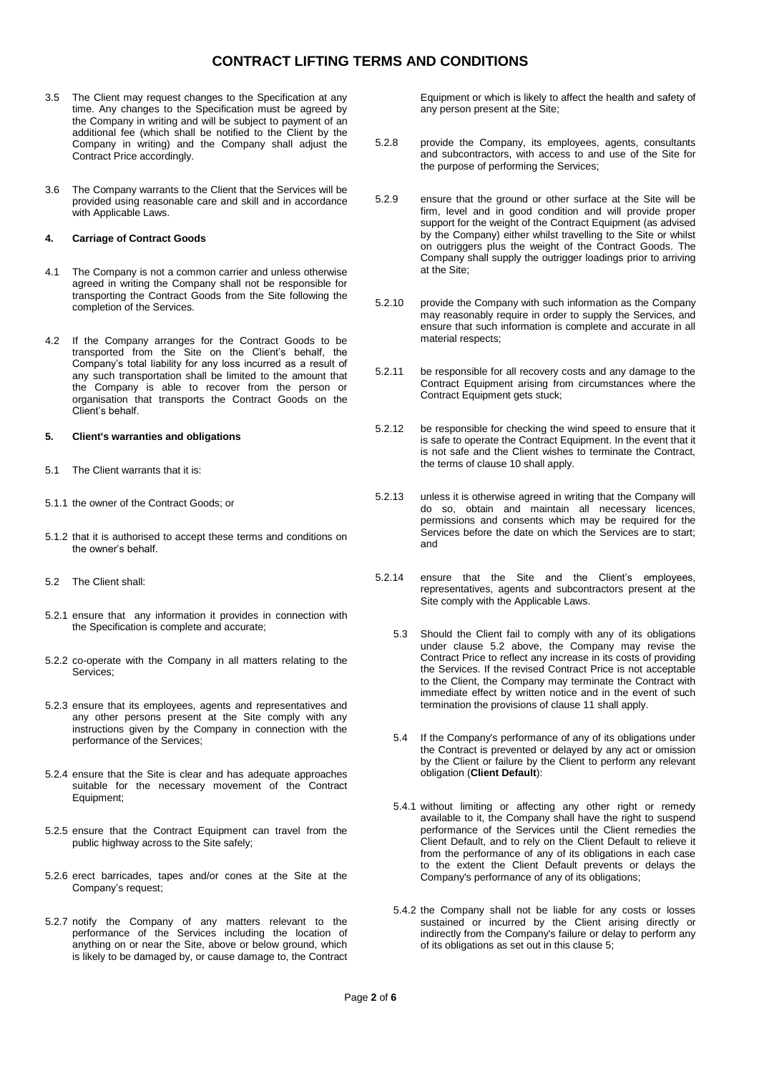- 3.5 The Client may request changes to the Specification at any time. Any changes to the Specification must be agreed by the Company in writing and will be subject to payment of an additional fee (which shall be notified to the Client by the Company in writing) and the Company shall adjust the Contract Price accordingly.
- 3.6 The Company warrants to the Client that the Services will be provided using reasonable care and skill and in accordance with Applicable Laws.

#### **4. Carriage of Contract Goods**

- 4.1 The Company is not a common carrier and unless otherwise agreed in writing the Company shall not be responsible for transporting the Contract Goods from the Site following the completion of the Services.
- 4.2 If the Company arranges for the Contract Goods to be transported from the Site on the Client's behalf, the Company's total liability for any loss incurred as a result of any such transportation shall be limited to the amount that the Company is able to recover from the person or organisation that transports the Contract Goods on the Client's behalf.

#### **5. Client's warranties and obligations**

- 5.1 The Client warrants that it is:
- 5.1.1 the owner of the Contract Goods; or
- 5.1.2 that it is authorised to accept these terms and conditions on the owner's behalf.
- 5.2 The Client shall:
- 5.2.1 ensure that any information it provides in connection with the Specification is complete and accurate;
- 5.2.2 co-operate with the Company in all matters relating to the Services;
- 5.2.3 ensure that its employees, agents and representatives and any other persons present at the Site comply with any instructions given by the Company in connection with the performance of the Services;
- 5.2.4 ensure that the Site is clear and has adequate approaches suitable for the necessary movement of the Contract Equipment;
- 5.2.5 ensure that the Contract Equipment can travel from the public highway across to the Site safely;
- 5.2.6 erect barricades, tapes and/or cones at the Site at the Company's request;
- 5.2.7 notify the Company of any matters relevant to the performance of the Services including the location of anything on or near the Site, above or below ground, which is likely to be damaged by, or cause damage to, the Contract

Equipment or which is likely to affect the health and safety of any person present at the Site;

- 5.2.8 provide the Company, its employees, agents, consultants and subcontractors, with access to and use of the Site for the purpose of performing the Services;
- 5.2.9 ensure that the ground or other surface at the Site will be firm, level and in good condition and will provide proper support for the weight of the Contract Equipment (as advised by the Company) either whilst travelling to the Site or whilst on outriggers plus the weight of the Contract Goods. The Company shall supply the outrigger loadings prior to arriving at the Site;
- 5.2.10 provide the Company with such information as the Company may reasonably require in order to supply the Services, and ensure that such information is complete and accurate in all material respects;
- 5.2.11 be responsible for all recovery costs and any damage to the Contract Equipment arising from circumstances where the Contract Equipment gets stuck;
- 5.2.12 be responsible for checking the wind speed to ensure that it is safe to operate the Contract Equipment. In the event that it is not safe and the Client wishes to terminate the Contract, the terms of clause 10 shall apply.
- 5.2.13 unless it is otherwise agreed in writing that the Company will do so, obtain and maintain all necessary licences, permissions and consents which may be required for the Services before the date on which the Services are to start; and
- 5.2.14 ensure that the Site and the Client's employees, representatives, agents and subcontractors present at the Site comply with the Applicable Laws.
	- 5.3 Should the Client fail to comply with any of its obligations under clause 5.2 above, the Company may revise the Contract Price to reflect any increase in its costs of providing the Services. If the revised Contract Price is not acceptable to the Client, the Company may terminate the Contract with immediate effect by written notice and in the event of such termination the provisions of clause 11 shall apply.
	- 5.4 If the Company's performance of any of its obligations under the Contract is prevented or delayed by any act or omission by the Client or failure by the Client to perform any relevant obligation (**Client Default**):
	- 5.4.1 without limiting or affecting any other right or remedy available to it, the Company shall have the right to suspend performance of the Services until the Client remedies the Client Default, and to rely on the Client Default to relieve it from the performance of any of its obligations in each case to the extent the Client Default prevents or delays the Company's performance of any of its obligations;
	- 5.4.2 the Company shall not be liable for any costs or losses sustained or incurred by the Client arising directly or indirectly from the Company's failure or delay to perform any of its obligations as set out in this clause 5;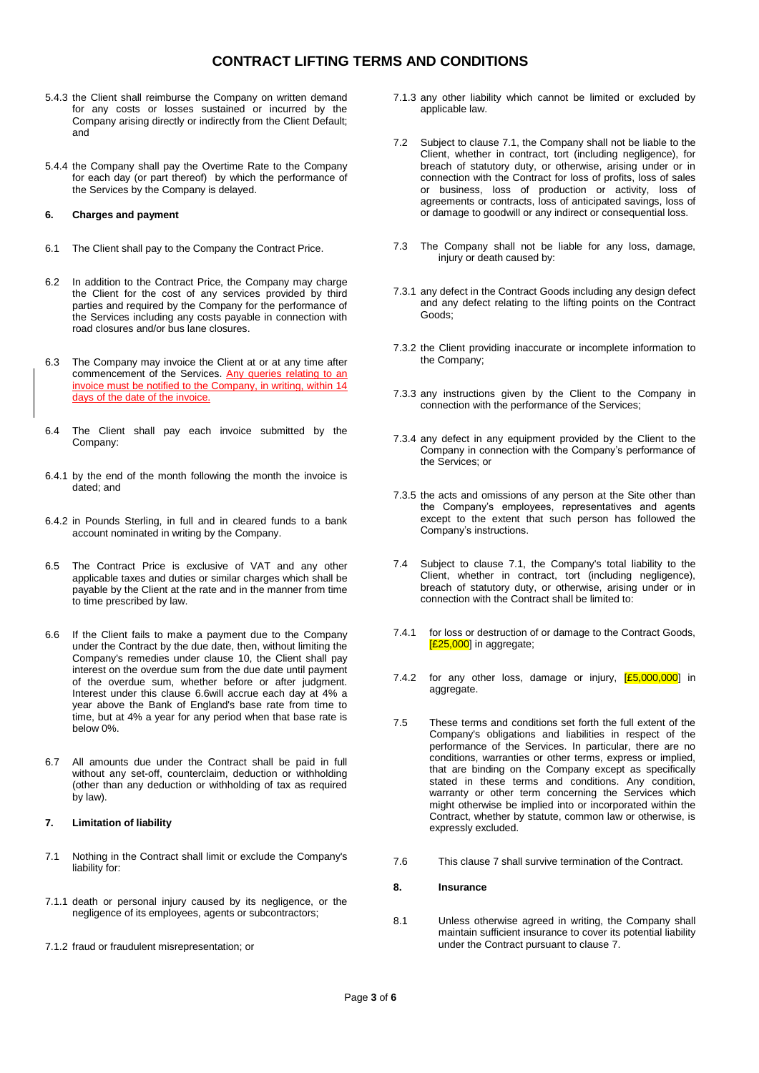- 5.4.3 the Client shall reimburse the Company on written demand for any costs or losses sustained or incurred by the Company arising directly or indirectly from the Client Default; and
- 5.4.4 the Company shall pay the Overtime Rate to the Company for each day (or part thereof) by which the performance of the Services by the Company is delayed.

## **6. Charges and payment**

- 6.1 The Client shall pay to the Company the Contract Price.
- 6.2 In addition to the Contract Price, the Company may charge the Client for the cost of any services provided by third parties and required by the Company for the performance of the Services including any costs payable in connection with road closures and/or bus lane closures.
- 6.3 The Company may invoice the Client at or at any time after commencement of the Services. Any queries relating to an invoice must be notified to the Company, in writing, within 14 days of the date of the invoice.
- 6.4 The Client shall pay each invoice submitted by the Company:
- 6.4.1 by the end of the month following the month the invoice is dated; and
- 6.4.2 in Pounds Sterling, in full and in cleared funds to a bank account nominated in writing by the Company.
- 6.5 The Contract Price is exclusive of VAT and any other applicable taxes and duties or similar charges which shall be payable by the Client at the rate and in the manner from time to time prescribed by law.
- 6.6 If the Client fails to make a payment due to the Company under the Contract by the due date, then, without limiting the Company's remedies under clause 10, the Client shall pay interest on the overdue sum from the due date until payment of the overdue sum, whether before or after judgment. Interest under this clause 6.6will accrue each day at 4% a year above the Bank of England's base rate from time to time, but at 4% a year for any period when that base rate is below 0%.
- 6.7 All amounts due under the Contract shall be paid in full without any set-off, counterclaim, deduction or withholding (other than any deduction or withholding of tax as required by law).

## <span id="page-2-1"></span>**7. Limitation of liability**

- <span id="page-2-0"></span>7.1 Nothing in the Contract shall limit or exclude the Company's liability for:
- 7.1.1 death or personal injury caused by its negligence, or the negligence of its employees, agents or subcontractors;
- 7.1.2 fraud or fraudulent misrepresentation; or
- 7.1.3 any other liability which cannot be limited or excluded by applicable law.
- 7.2 Subject to clause [7.1,](#page-2-0) the Company shall not be liable to the Client, whether in contract, tort (including negligence), for breach of statutory duty, or otherwise, arising under or in connection with the Contract for loss of profits, loss of sales or business, loss of production or activity, loss of agreements or contracts, loss of anticipated savings, loss of or damage to goodwill or any indirect or consequential loss.
- 7.3 The Company shall not be liable for any loss, damage, injury or death caused by:
- 7.3.1 any defect in the Contract Goods including any design defect and any defect relating to the lifting points on the Contract Goods;
- 7.3.2 the Client providing inaccurate or incomplete information to the Company;
- 7.3.3 any instructions given by the Client to the Company in connection with the performance of the Services;
- 7.3.4 any defect in any equipment provided by the Client to the Company in connection with the Company's performance of the Services; or
- 7.3.5 the acts and omissions of any person at the Site other than the Company's employees, representatives and agents except to the extent that such person has followed the Company's instructions.
- 7.4 Subject to clause [7.1,](#page-2-0) the Company's total liability to the Client, whether in contract, tort (including negligence), breach of statutory duty, or otherwise, arising under or in connection with the Contract shall be limited to:
- 7.4.1 for loss or destruction of or damage to the Contract Goods,  $[£25,000]$  in aggregate;
- 7.4.2 for any other loss, damage or injury,  $[£5,000,000]$  in aggregate.
- 7.5 These terms and conditions set forth the full extent of the Company's obligations and liabilities in respect of the performance of the Services. In particular, there are no conditions, warranties or other terms, express or implied, that are binding on the Company except as specifically stated in these terms and conditions. Any condition, warranty or other term concerning the Services which might otherwise be implied into or incorporated within the Contract, whether by statute, common law or otherwise, is expressly excluded.
- 7.6 This claus[e 7](#page-2-1) shall survive termination of the Contract.

## **8. Insurance**

8.1 Unless otherwise agreed in writing, the Company shall maintain sufficient insurance to cover its potential liability under the Contract pursuant to clause 7.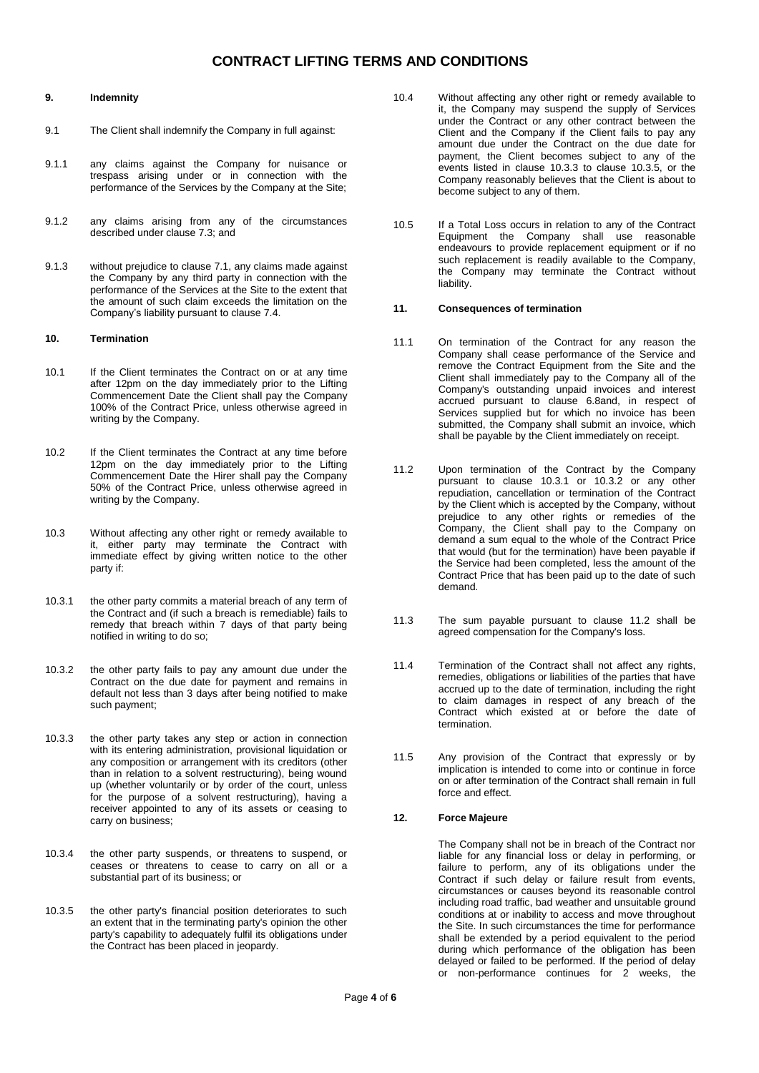### **9. Indemnity**

- 9.1 The Client shall indemnify the Company in full against:
- 9.1.1 any claims against the Company for nuisance or trespass arising under or in connection with the performance of the Services by the Company at the Site;
- 9.1.2 any claims arising from any of the circumstances described under clause 7.3; and
- 9.1.3 without prejudice to clause 7.1, any claims made against the Company by any third party in connection with the performance of the Services at the Site to the extent that the amount of such claim exceeds the limitation on the Company's liability pursuant to clause 7.4.

## **10. Termination**

- 10.1 If the Client terminates the Contract on or at any time after 12pm on the day immediately prior to the Lifting Commencement Date the Client shall pay the Company 100% of the Contract Price, unless otherwise agreed in writing by the Company.
- 10.2 If the Client terminates the Contract at any time before 12pm on the day immediately prior to the Lifting Commencement Date the Hirer shall pay the Company 50% of the Contract Price, unless otherwise agreed in writing by the Company.
- 10.3 Without affecting any other right or remedy available to it, either party may terminate the Contract with immediate effect by giving written notice to the other party if:
- 10.3.1 the other party commits a material breach of any term of the Contract and (if such a breach is remediable) fails to remedy that breach within 7 days of that party being notified in writing to do so;
- 10.3.2 the other party fails to pay any amount due under the Contract on the due date for payment and remains in default not less than 3 days after being notified to make such payment;
- <span id="page-3-0"></span>10.3.3 the other party takes any step or action in connection with its entering administration, provisional liquidation or any composition or arrangement with its creditors (other than in relation to a solvent restructuring), being wound up (whether voluntarily or by order of the court, unless for the purpose of a solvent restructuring), having a receiver appointed to any of its assets or ceasing to carry on business;
- 10.3.4 the other party suspends, or threatens to suspend, or ceases or threatens to cease to carry on all or a substantial part of its business; or
- 10.3.5 the other party's financial position deteriorates to such an extent that in the terminating party's opinion the other party's capability to adequately fulfil its obligations under the Contract has been placed in jeopardy.
- 10.4 Without affecting any other right or remedy available to it, the Company may suspend the supply of Services under the Contract or any other contract between the Client and the Company if the Client fails to pay any amount due under the Contract on the due date for payment, the Client becomes subject to any of the events listed in clause [10.3.3](#page-3-0) to clause 10.3.5, or the Company reasonably believes that the Client is about to become subject to any of them.
- 10.5 If a Total Loss occurs in relation to any of the Contract Equipment the Company shall use reasonable endeavours to provide replacement equipment or if no such replacement is readily available to the Company, the Company may terminate the Contract without liability.

## **11. Consequences of termination**

- 11.1 On termination of the Contract for any reason the Company shall cease performance of the Service and remove the Contract Equipment from the Site and the Client shall immediately pay to the Company all of the Company's outstanding unpaid invoices and interest accrued pursuant to clause 6.8and, in respect of Services supplied but for which no invoice has been submitted, the Company shall submit an invoice, which shall be payable by the Client immediately on receipt.
- 11.2 Upon termination of the Contract by the Company pursuant to clause 10.3.1 or 10.3.2 or any other repudiation, cancellation or termination of the Contract by the Client which is accepted by the Company, without prejudice to any other rights or remedies of the Company, the Client shall pay to the Company on demand a sum equal to the whole of the Contract Price that would (but for the termination) have been payable if the Service had been completed, less the amount of the Contract Price that has been paid up to the date of such demand.
- 11.3 The sum payable pursuant to clause 11.2 shall be agreed compensation for the Company's loss.
- 11.4 Termination of the Contract shall not affect any rights, remedies, obligations or liabilities of the parties that have accrued up to the date of termination, including the right to claim damages in respect of any breach of the Contract which existed at or before the date of termination.
- 11.5 Any provision of the Contract that expressly or by implication is intended to come into or continue in force on or after termination of the Contract shall remain in full force and effect.

## **12. Force Majeure**

The Company shall not be in breach of the Contract nor liable for any financial loss or delay in performing, or failure to perform, any of its obligations under the Contract if such delay or failure result from events, circumstances or causes beyond its reasonable control including road traffic, bad weather and unsuitable ground conditions at or inability to access and move throughout the Site. In such circumstances the time for performance shall be extended by a period equivalent to the period during which performance of the obligation has been delayed or failed to be performed. If the period of delay or non-performance continues for 2 weeks, the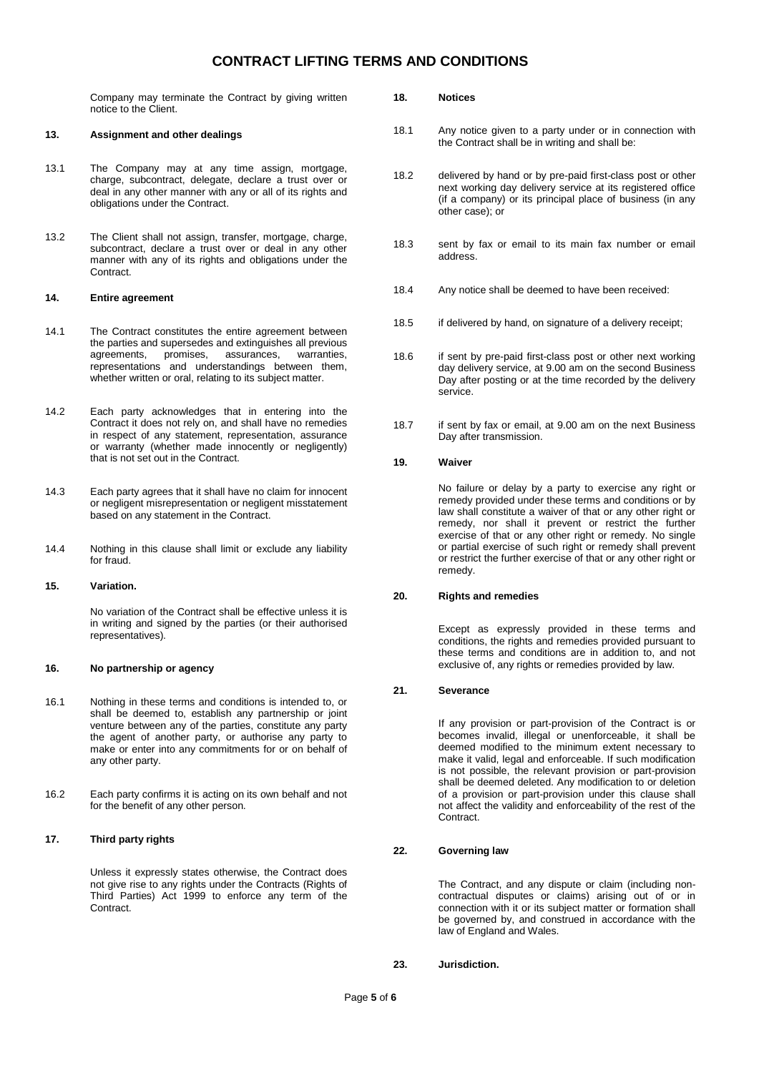Company may terminate the Contract by giving written notice to the Client.

### **13. Assignment and other dealings**

- 13.1 The Company may at any time assign, mortgage, charge, subcontract, delegate, declare a trust over or deal in any other manner with any or all of its rights and obligations under the Contract.
- 13.2 The Client shall not assign, transfer, mortgage, charge, subcontract, declare a trust over or deal in any other manner with any of its rights and obligations under the Contract.

#### **14. Entire agreement**

- 14.1 The Contract constitutes the entire agreement between the parties and supersedes and extinguishes all previous agreements, promises, assurances, warranties, representations and understandings between them, whether written or oral, relating to its subject matter.
- 14.2 Each party acknowledges that in entering into the Contract it does not rely on, and shall have no remedies in respect of any statement, representation, assurance or warranty (whether made innocently or negligently) that is not set out in the Contract.
- 14.3 Each party agrees that it shall have no claim for innocent or negligent misrepresentation or negligent misstatement based on any statement in the Contract.
- 14.4 Nothing in this clause shall limit or exclude any liability for fraud.

### **15. Variation.**

No variation of the Contract shall be effective unless it is in writing and signed by the parties (or their authorised representatives).

#### **16. No partnership or agency**

- 16.1 Nothing in these terms and conditions is intended to, or shall be deemed to, establish any partnership or joint venture between any of the parties, constitute any party the agent of another party, or authorise any party to make or enter into any commitments for or on behalf of any other party.
- 16.2 Each party confirms it is acting on its own behalf and not for the benefit of any other person.

### **17. Third party rights**

Unless it expressly states otherwise, the Contract does not give rise to any rights under the Contracts (Rights of Third Parties) Act 1999 to enforce any term of the Contract.

### **18. Notices**

- 18.1 Any notice given to a party under or in connection with the Contract shall be in writing and shall be:
- 18.2 delivered by hand or by pre-paid first-class post or other next working day delivery service at its registered office (if a company) or its principal place of business (in any other case); or
- 18.3 sent by fax or email to its main fax number or email address.
- 18.4 Any notice shall be deemed to have been received:
- 18.5 if delivered by hand, on signature of a delivery receipt;
- 18.6 if sent by pre-paid first-class post or other next working day delivery service, at 9.00 am on the second Business Day after posting or at the time recorded by the delivery service.
- 18.7 if sent by fax or email, at 9.00 am on the next Business Day after transmission.

### **19. Waiver**

No failure or delay by a party to exercise any right or remedy provided under these terms and conditions or by law shall constitute a waiver of that or any other right or remedy, nor shall it prevent or restrict the further exercise of that or any other right or remedy. No single or partial exercise of such right or remedy shall prevent or restrict the further exercise of that or any other right or remedy.

## **20. Rights and remedies**

Except as expressly provided in these terms and conditions, the rights and remedies provided pursuant to these terms and conditions are in addition to, and not exclusive of, any rights or remedies provided by law.

### **21. Severance**

If any provision or part-provision of the Contract is or becomes invalid, illegal or unenforceable, it shall be deemed modified to the minimum extent necessary to make it valid, legal and enforceable. If such modification is not possible, the relevant provision or part-provision shall be deemed deleted. Any modification to or deletion of a provision or part-provision under this clause shall not affect the validity and enforceability of the rest of the Contract.

## **22. Governing law**

The Contract, and any dispute or claim (including noncontractual disputes or claims) arising out of or in connection with it or its subject matter or formation shall be governed by, and construed in accordance with the law of England and Wales.

#### **23. Jurisdiction.**